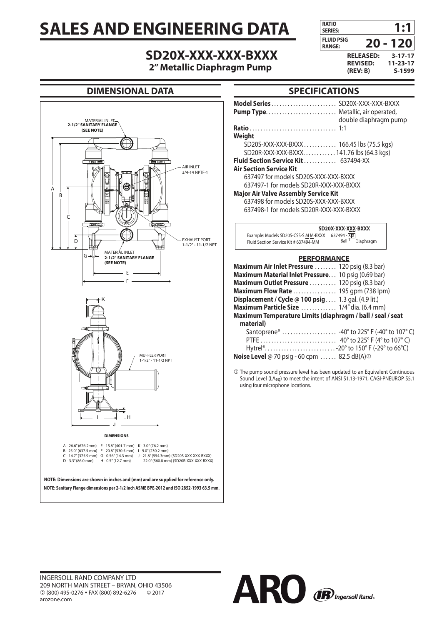# **SALES AND ENGINEERING DATA**

# **SD20X-XXX-XXX-BXXX**

**2" Metallic Diaphragm Pump**



# **DIMENSIONAL DATA**



# **SPECIFICATIONS**

| .                                           |                       |
|---------------------------------------------|-----------------------|
|                                             |                       |
|                                             | double diaphragm pump |
|                                             |                       |
| Weight                                      |                       |
| SD20S-XXX-XXX-BXXX 166.45 lbs (75.5 kgs)    |                       |
| SD20R-XXX-XXX-BXXX 141.76 lbs (64.3 kgs)    |                       |
| <b>Fluid Section Service Kit 637494-XX</b>  |                       |
| <b>Air Section Service Kit</b>              |                       |
| 637497 for models SD20S-XXX-XXX-BXXX        |                       |
| 637497-1 for models SD20R-XXX-XXX-BXXX      |                       |
| <b>Major Air Valve Assembly Service Kit</b> |                       |
| 637498 for models SD20S-XXX-XXX-BXXX        |                       |
| 637498-1 for models SD20R-XXX-XXX-BXXX      |                       |
|                                             | SD20X-XXX-XXX-BXXX    |
| Evangle Models CD305 CCC CMM DVVV 627404 VV |                       |

.94 - <u>XIAJ</u><br>Ball - LDiaphragm  $F$ luid Section Service Kit # 637494-MM

#### **PERFORMANCE**

| Maximum Air Inlet Pressure  120 psig (8.3 bar)              |  |  |
|-------------------------------------------------------------|--|--|
| Maximum Material Inlet Pressure. 10 psig (0.69 bar)         |  |  |
| Maximum Outlet Pressure  120 psig (8.3 bar)                 |  |  |
| Maximum Flow Rate  195 gpm (738 lpm)                        |  |  |
| <b>Displacement / Cycle @ 100 psig </b> 1.3 gal. (4.9 lit.) |  |  |
| Maximum Particle Size  1/4" dia. (6.4 mm)                   |  |  |
| Maximum Temperature Limits (diaphragm / ball / seal / seat  |  |  |
| material)                                                   |  |  |
| Santoprene <sup>®</sup> -40° to 225° F (-40° to 107° C)     |  |  |
|                                                             |  |  |
| Hytrel®20° to 150° F (-29° to 66°C)                         |  |  |
|                                                             |  |  |

**Noise Level** @ 70 psig - 60 cpm . . . . . . 82.5 dB(A)<sup>O</sup>

 The pump sound pressure level has been updated to an Equivalent Continuous Sound Level (LAeq) to meet the intent of ANSI S1.13-1971, CAGI-PNEUROP S5.1 using four microphone locations.

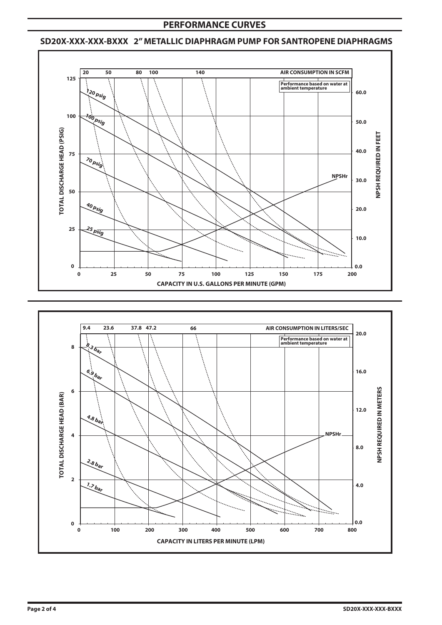# **PERFORMANCE CURVES**

### **SD20X-XXX-XXX-BXXX 2" METALLIC DIAPHRAGM PUMP FOR SANTROPENE DIAPHRAGMS**



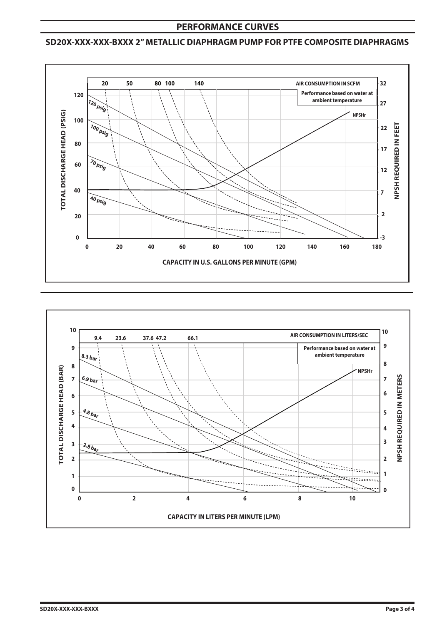# **PERFORMANCE CURVES**

# **SD20X-XXX-XXX-BXXX 2" METALLIC DIAPHRAGM PUMP FOR PTFE COMPOSITE DIAPHRAGMS**